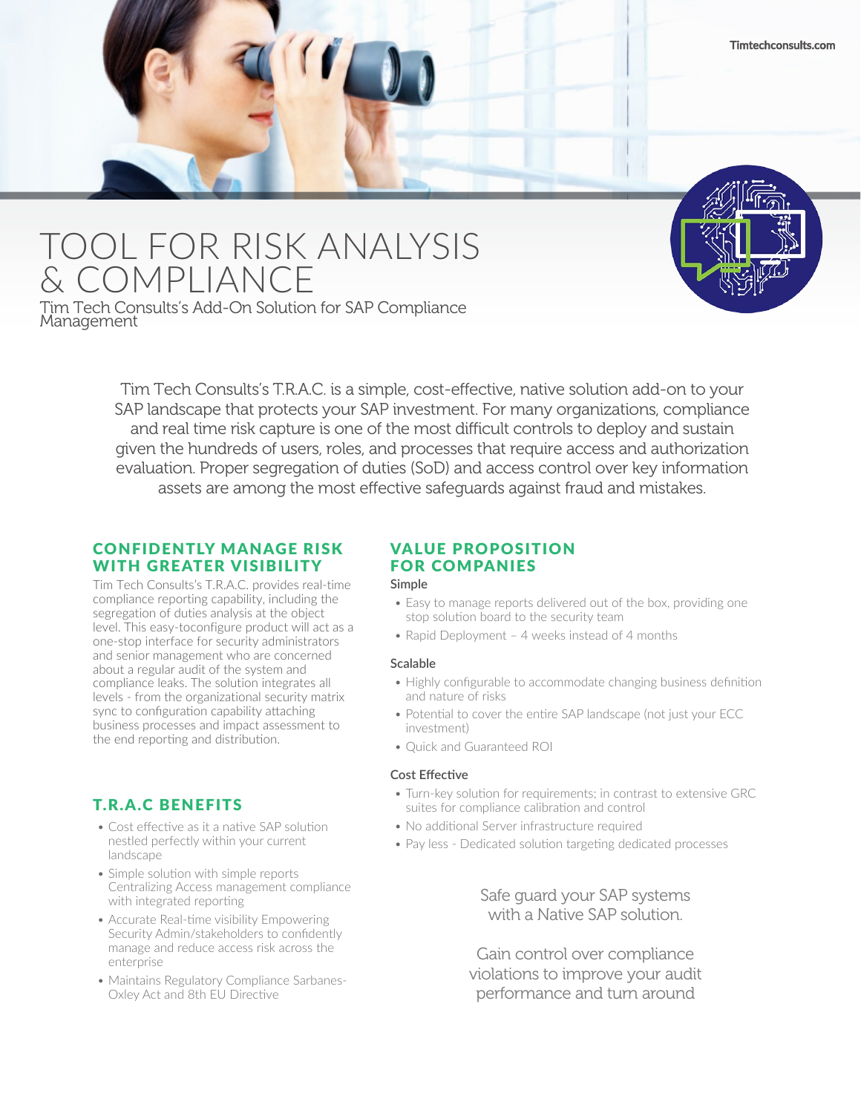# TOOL FOR RISK ANALYSIS & COMPLIANCE

Tim Tech Consults's Add-On Solution for SAP Compliance Management

> Tim Tech Consults's T.R.A.C. is a simple, cost-effective, native solution add-on to your SAP landscape that protects your SAP investment. For many organizations, compliance and real time risk capture is one of the most difficult controls to deploy and sustain given the hundreds of users, roles, and processes that require access and authorization evaluation. Proper segregation of duties (SoD) and access control over key information assets are among the most effective safeguards against fraud and mistakes.

## CONFIDENTLY MANAGE RISK WITH GREATER VISIBILITY

Tim Tech Consults's T.R.A.C. provides real-time compliance reporting capability, including the segregation of duties analysis at the object level. This easy-toconfigure product will act as a one-stop interface for security administrators and senior management who are concerned about a regular audit of the system and compliance leaks. The solution integrates all levels - from the organizational security matrix sync to configuration capability attaching business processes and impact assessment to the end reporting and distribution.

## T.R.A.C BENEFITS

- Cost effective as it a native SAP solution nestled perfectly within your current landscape
- Simple solution with simple reports Centralizing Access management compliance with integrated reporting
- Accurate Real-time visibility Empowering Security Admin/stakeholders to confidently manage and reduce access risk across the enterprise
- Maintains Regulatory Compliance Sarbanes-Oxley Act and 8th EU Directive

## VALUE PROPOSITION FOR COMPANIES

#### **Simple**

- Easy to manage reports delivered out of the box, providing one stop solution board to the security team
- Rapid Deployment 4 weeks instead of 4 months

#### **Scalable**

- Highly configurable to accommodate changing business definition and nature of risks
- Potential to cover the entire SAP landscape (not just your ECC investment)
- Quick and Guaranteed ROI

#### **Cost Effective**

- Turn-key solution for requirements; in contrast to extensive GRC suites for compliance calibration and control
- No additional Server infrastructure required
- Pay less Dedicated solution targeting dedicated processes

## Safe guard your SAP systems with a Native SAP solution.

Gain control over compliance violations to improve your audit performance and turn around